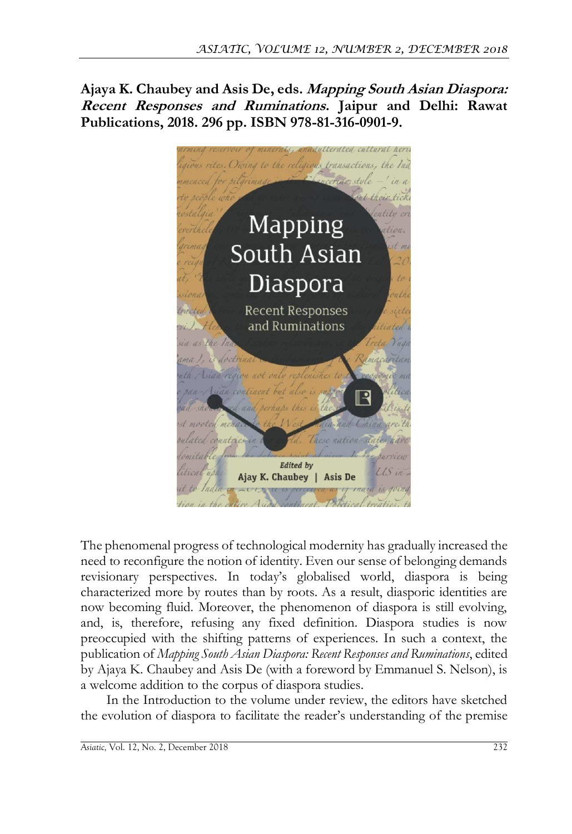**Ajaya K. Chaubey and Asis De, eds. Mapping South Asian Diaspora: Recent Responses and Ruminations. Jaipur and Delhi: Rawat Publications, 2018. 296 pp. ISBN 978-81-316-0901-9.**



The phenomenal progress of technological modernity has gradually increased the need to reconfigure the notion of identity. Even our sense of belonging demands revisionary perspectives. In today's globalised world, diaspora is being characterized more by routes than by roots. As a result, diasporic identities are now becoming fluid. Moreover, the phenomenon of diaspora is still evolving, and, is, therefore, refusing any fixed definition. Diaspora studies is now preoccupied with the shifting patterns of experiences. In such a context, the publication of *Mapping South Asian Diaspora: Recent Responses and Ruminations*, edited by Ajaya K. Chaubey and Asis De (with a foreword by Emmanuel S. Nelson), is a welcome addition to the corpus of diaspora studies.

In the Introduction to the volume under review, the editors have sketched the evolution of diaspora to facilitate the reader's understanding of the premise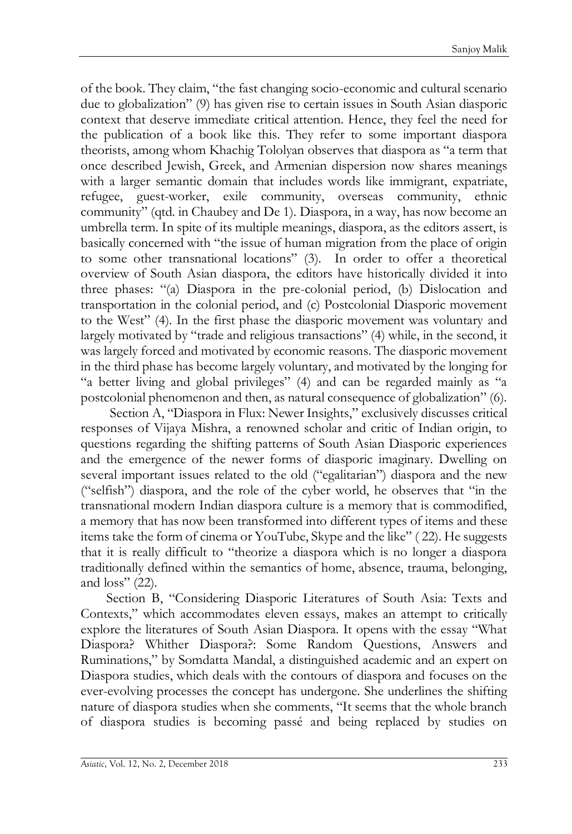of the book. They claim, "the fast changing socio-economic and cultural scenario due to globalization" (9) has given rise to certain issues in South Asian diasporic context that deserve immediate critical attention. Hence, they feel the need for the publication of a book like this. They refer to some important diaspora theorists, among whom Khachig Tololyan observes that diaspora as "a term that once described Jewish, Greek, and Armenian dispersion now shares meanings with a larger semantic domain that includes words like immigrant, expatriate, refugee, guest-worker, exile community, overseas community, ethnic community" (qtd. in Chaubey and De 1). Diaspora, in a way, has now become an umbrella term. In spite of its multiple meanings, diaspora, as the editors assert, is basically concerned with "the issue of human migration from the place of origin to some other transnational locations" (3). In order to offer a theoretical overview of South Asian diaspora, the editors have historically divided it into three phases: "(a) Diaspora in the pre-colonial period, (b) Dislocation and transportation in the colonial period, and (c) Postcolonial Diasporic movement to the West" (4). In the first phase the diasporic movement was voluntary and largely motivated by "trade and religious transactions" (4) while, in the second, it was largely forced and motivated by economic reasons. The diasporic movement in the third phase has become largely voluntary, and motivated by the longing for "a better living and global privileges" (4) and can be regarded mainly as "a postcolonial phenomenon and then, as natural consequence of globalization" (6).

Section A, "Diaspora in Flux: Newer Insights," exclusively discusses critical responses of Vijaya Mishra, a renowned scholar and critic of Indian origin, to questions regarding the shifting patterns of South Asian Diasporic experiences and the emergence of the newer forms of diasporic imaginary. Dwelling on several important issues related to the old ("egalitarian") diaspora and the new ("selfish") diaspora, and the role of the cyber world, he observes that "in the transnational modern Indian diaspora culture is a memory that is commodified, a memory that has now been transformed into different types of items and these items take the form of cinema or YouTube, Skype and the like" ( 22). He suggests that it is really difficult to "theorize a diaspora which is no longer a diaspora traditionally defined within the semantics of home, absence, trauma, belonging, and  $loss''(22)$ .

Section B, "Considering Diasporic Literatures of South Asia: Texts and Contexts," which accommodates eleven essays, makes an attempt to critically explore the literatures of South Asian Diaspora. It opens with the essay "What Diaspora? Whither Diaspora?: Some Random Questions, Answers and Ruminations," by Somdatta Mandal, a distinguished academic and an expert on Diaspora studies, which deals with the contours of diaspora and focuses on the ever-evolving processes the concept has undergone. She underlines the shifting nature of diaspora studies when she comments, "It seems that the whole branch of diaspora studies is becoming passé and being replaced by studies on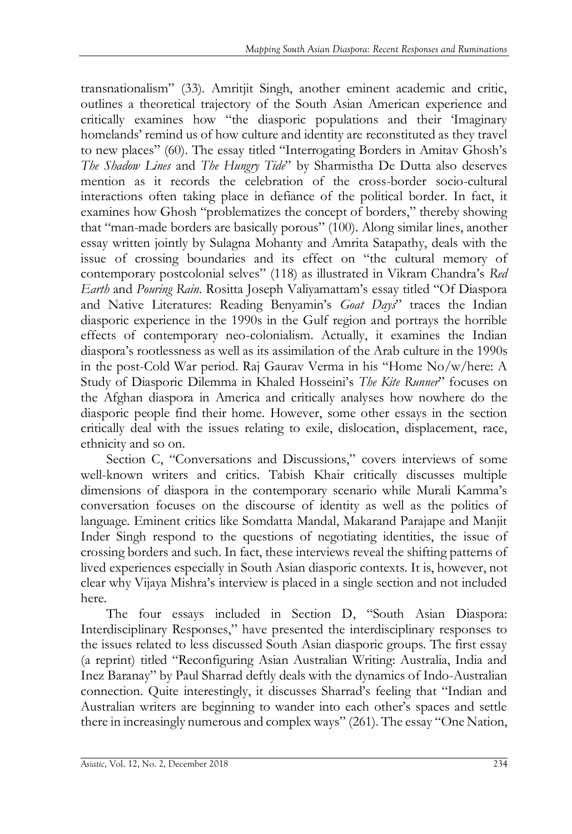transnationalism" (33). Amritjit Singh, another eminent academic and critic, outlines a theoretical trajectory of the South Asian American experience and critically examines how "the diasporic populations and their 'Imaginary homelands' remind us of how culture and identity are reconstituted as they travel to new places" (60). The essay titled "Interrogating Borders in Amitav Ghosh's *The Shadow Lines* and *The Hungry Tide*" by Sharmistha De Dutta also deserves mention as it records the celebration of the cross-border socio-cultural interactions often taking place in defiance of the political border. In fact, it examines how Ghosh "problematizes the concept of borders," thereby showing that "man-made borders are basically porous" (100). Along similar lines, another essay written jointly by Sulagna Mohanty and Amrita Satapathy, deals with the issue of crossing boundaries and its effect on "the cultural memory of contemporary postcolonial selves" (118) as illustrated in Vikram Chandra's *Red Earth* and *Pouring Rain*. Rositta Joseph Valiyamattam's essay titled "Of Diaspora and Native Literatures: Reading Benyamin's *Goat Days*" traces the Indian diasporic experience in the 1990s in the Gulf region and portrays the horrible effects of contemporary neo-colonialism. Actually, it examines the Indian diaspora's rootlessness as well as its assimilation of the Arab culture in the 1990s in the post-Cold War period. Raj Gaurav Verma in his "Home No/w/here: A Study of Diasporic Dilemma in Khaled Hosseini's *The Kite Runner*" focuses on the Afghan diaspora in America and critically analyses how nowhere do the diasporic people find their home. However, some other essays in the section critically deal with the issues relating to exile, dislocation, displacement, race, ethnicity and so on.

Section C, "Conversations and Discussions," covers interviews of some well-known writers and critics. Tabish Khair critically discusses multiple dimensions of diaspora in the contemporary scenario while Murali Kamma's conversation focuses on the discourse of identity as well as the politics of language. Eminent critics like Somdatta Mandal, Makarand Parajape and Manjit Inder Singh respond to the questions of negotiating identities, the issue of crossing borders and such. In fact, these interviews reveal the shifting patterns of lived experiences especially in South Asian diasporic contexts. It is, however, not clear why Vijaya Mishra's interview is placed in a single section and not included here.

The four essays included in Section D, "South Asian Diaspora: Interdisciplinary Responses," have presented the interdisciplinary responses to the issues related to less discussed South Asian diasporic groups. The first essay (a reprint) titled "Reconfiguring Asian Australian Writing: Australia, India and Inez Baranay" by Paul Sharrad deftly deals with the dynamics of Indo-Australian connection. Quite interestingly, it discusses Sharrad's feeling that "Indian and Australian writers are beginning to wander into each other's spaces and settle there in increasingly numerous and complex ways" (261). The essay "One Nation,